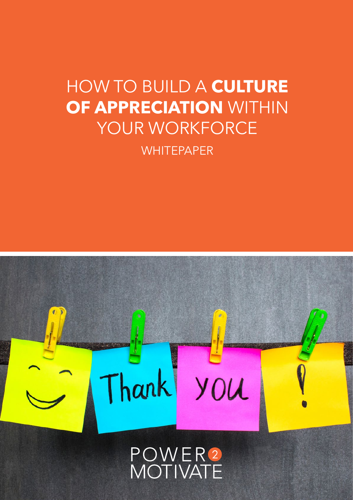# HOW TO BUILD A **CULTURE OF APPRECIATION** WITHIN YOUR WORKFORCE

**WHITEPAPER** 

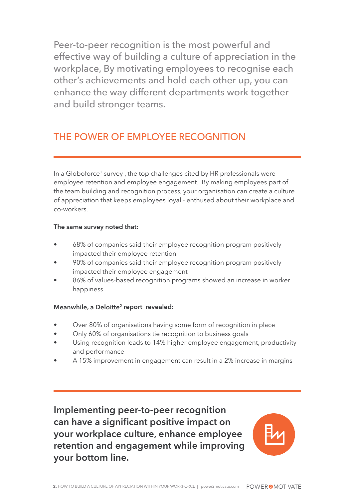Peer-to-peer recognition is the most powerful and effective way of building a culture of appreciation in the workplace, By motivating employees to recognise each other's achievements and hold each other up, you can enhance the way different departments work together and build stronger teams.

# THE POWER OF EMPLOYEE RECOGNITION

In a Globoforce<sup>1</sup> survey, the top challenges cited by HR professionals were employee retention and employee engagement. By making employees part of the team building and recognition process, your organisation can create a culture of appreciation that keeps employees loyal - enthused about their workplace and co-workers.

# **The same survey noted that:**

- 68% of companies said their employee recognition program positively impacted their employee retention
- 90% of companies said their employee recognition program positively impacted their employee engagement
- 86% of values-based recognition programs showed an increase in worker happiness

# **Meanwhile, a Deloitte2 report revealed:**

- Over 80% of organisations having some form of recognition in place
- Only 60% of organisations tie recognition to business goals
- Using recognition leads to 14% higher employee engagement, productivity and performance
- A 15% improvement in engagement can result in a 2% increase in margins

**Implementing peer-to-peer recognition can have a significant positive impact on your workplace culture, enhance employee retention and engagement while improving your bottom line.**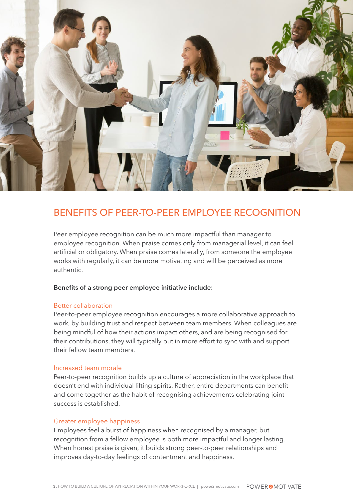

# BENEFITS OF PEER-TO-PEER EMPLOYEE RECOGNITION

Peer employee recognition can be much more impactful than manager to employee recognition. When praise comes only from managerial level, it can feel artificial or obligatory. When praise comes laterally, from someone the employee works with regularly, it can be more motivating and will be perceived as more authentic.

#### **Benefits of a strong peer employee initiative include:**

#### Better collaboration

Peer-to-peer employee recognition encourages a more collaborative approach to work, by building trust and respect between team members. When colleagues are being mindful of how their actions impact others, and are being recognised for their contributions, they will typically put in more effort to sync with and support their fellow team members.

#### Increased team morale

Peer-to-peer recognition builds up a culture of appreciation in the workplace that doesn't end with individual lifting spirits. Rather, entire departments can benefit and come together as the habit of recognising achievements celebrating joint success is established.

## Greater employee happiness

Employees feel a burst of happiness when recognised by a manager, but recognition from a fellow employee is both more impactful and longer lasting. When honest praise is given, it builds strong peer-to-peer relationships and improves day-to-day feelings of contentment and happiness.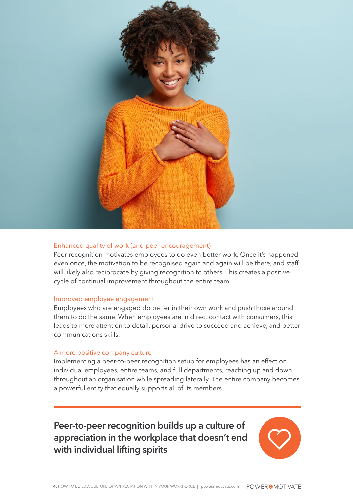

# Enhanced quality of work (and peer encouragement)

Peer recognition motivates employees to do even better work. Once it's happened even once, the motivation to be recognised again and again will be there, and staff will likely also reciprocate by giving recognition to others. This creates a positive cycle of continual improvement throughout the entire team.

# Improved employee engagement

Employees who are engaged do better in their own work and push those around them to do the same. When employees are in direct contact with consumers, this leads to more attention to detail, personal drive to succeed and achieve, and better communications skills.

## A more positive company culture

Implementing a peer-to-peer recognition setup for employees has an effect on individual employees, entire teams, and full departments, reaching up and down throughout an organisation while spreading laterally. The entire company becomes a powerful entity that equally supports all of its members.

**Peer-to-peer recognition builds up a culture of appreciation in the workplace that doesn't end with individual lifting spirits**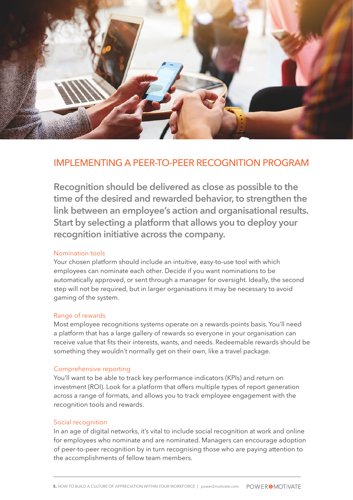

# IMPLEMENTING A PEER-TO-PEER RECOGNITION PROGRAM

**Recognition should be delivered as close as possible to the time of the desired and rewarded behavior, to strengthen the link between an employee's action and organisational results. Start by selecting a platform that allows you to deploy your recognition initiative across the company.** 

## Nomination tools

Your chosen platform should include an intuitive, easy-to-use tool with which employees can nominate each other. Decide if you want nominations to be automatically approved, or sent through a manager for oversight. Ideally, the second step will not be required, but in larger organisations it may be necessary to avoid gaming of the system.

## Range of rewards

Most employee recognitions systems operate on a rewards-points basis. You'll need a platform that has a large gallery of rewards so everyone in your organisation can receive value that fits their interests, wants, and needs. Redeemable rewards should be something they wouldn't normally get on their own, like a travel package.

## Comprehensive reporting

You'll want to be able to track key performance indicators (KPIs) and return on investment (ROI). Look for a platform that offers multiple types of report generation across a range of formats, and allows you to track employee engagement with the recognition tools and rewards.

## Social recognition

In an age of digital networks, it's vital to include social recognition at work and online for employees who nominate and are nominated. Managers can encourage adoption of peer-to-peer recognition by in turn recognising those who are paying attention to the accomplishments of fellow team members.